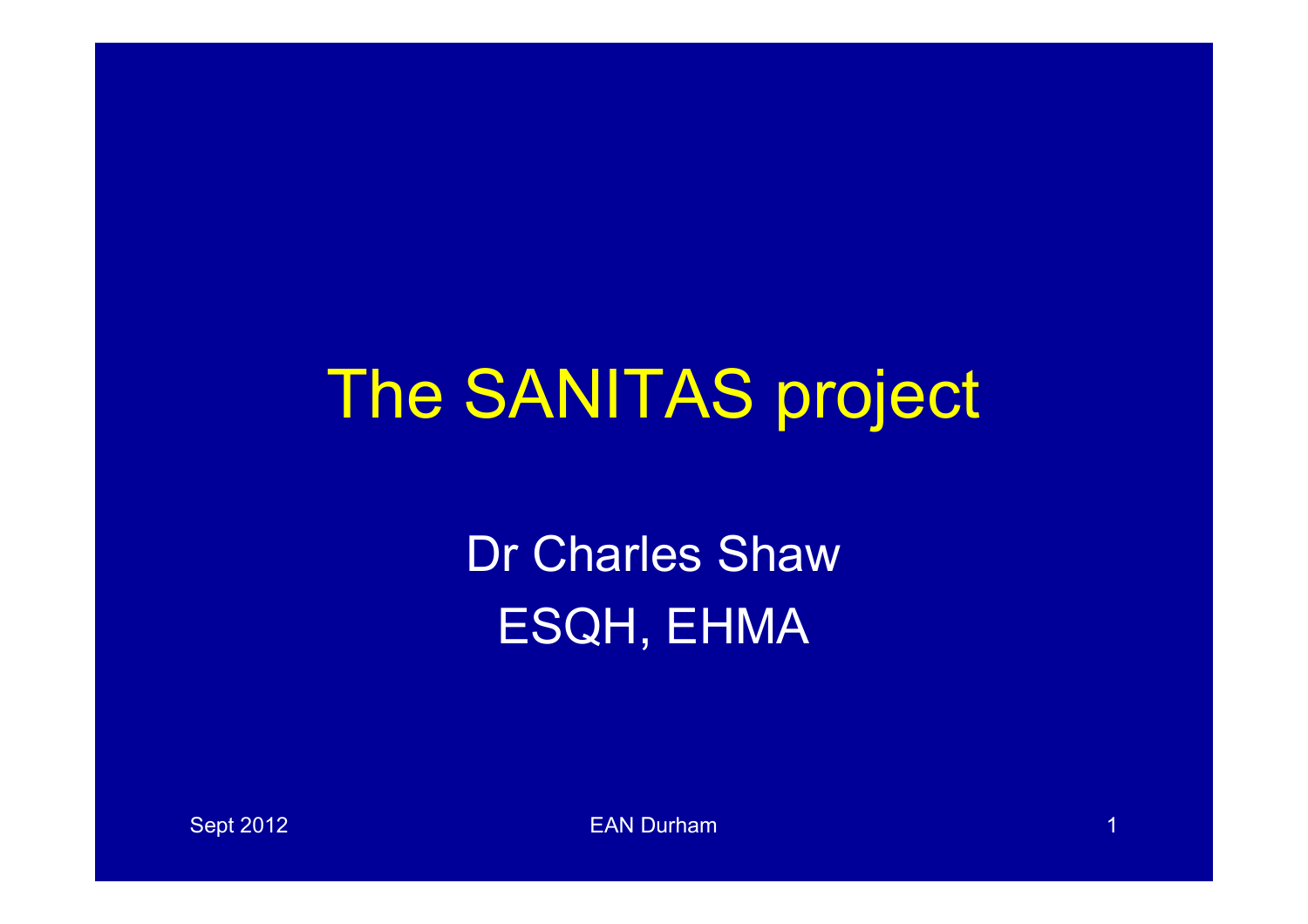# The SANITAS project

Dr Charles Shaw ESQH, EHMA

Sept 2012 **EAN Durham 1 EAN Durham** 1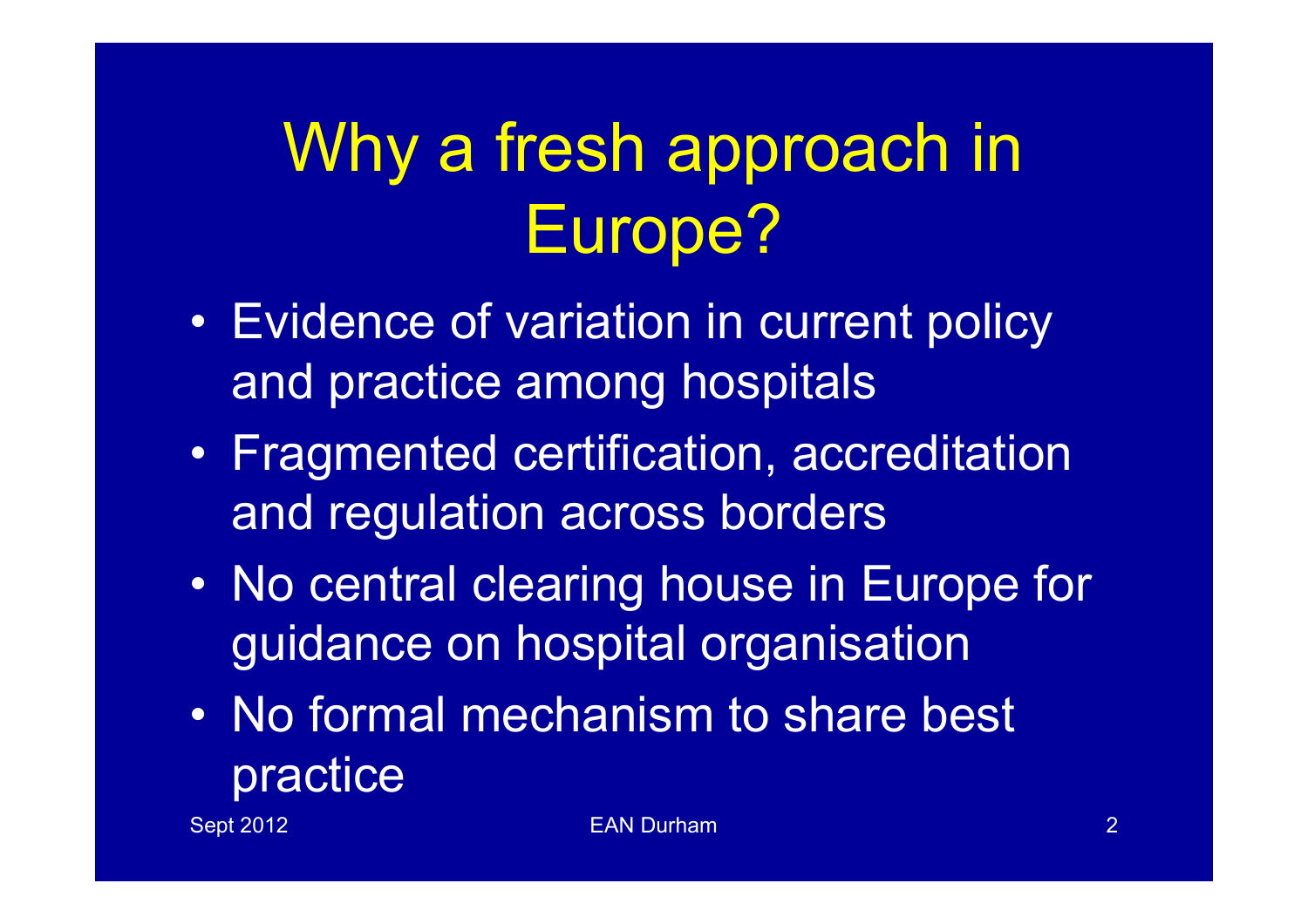# Why a fresh approach in Europe?

- Evidence of variation in current policy and practice among hospitals
- Fragmented certification, accreditation and regulation across borders
- No central clearing house in Europe for guidance on hospital organisation
- No formal mechanism to share best practice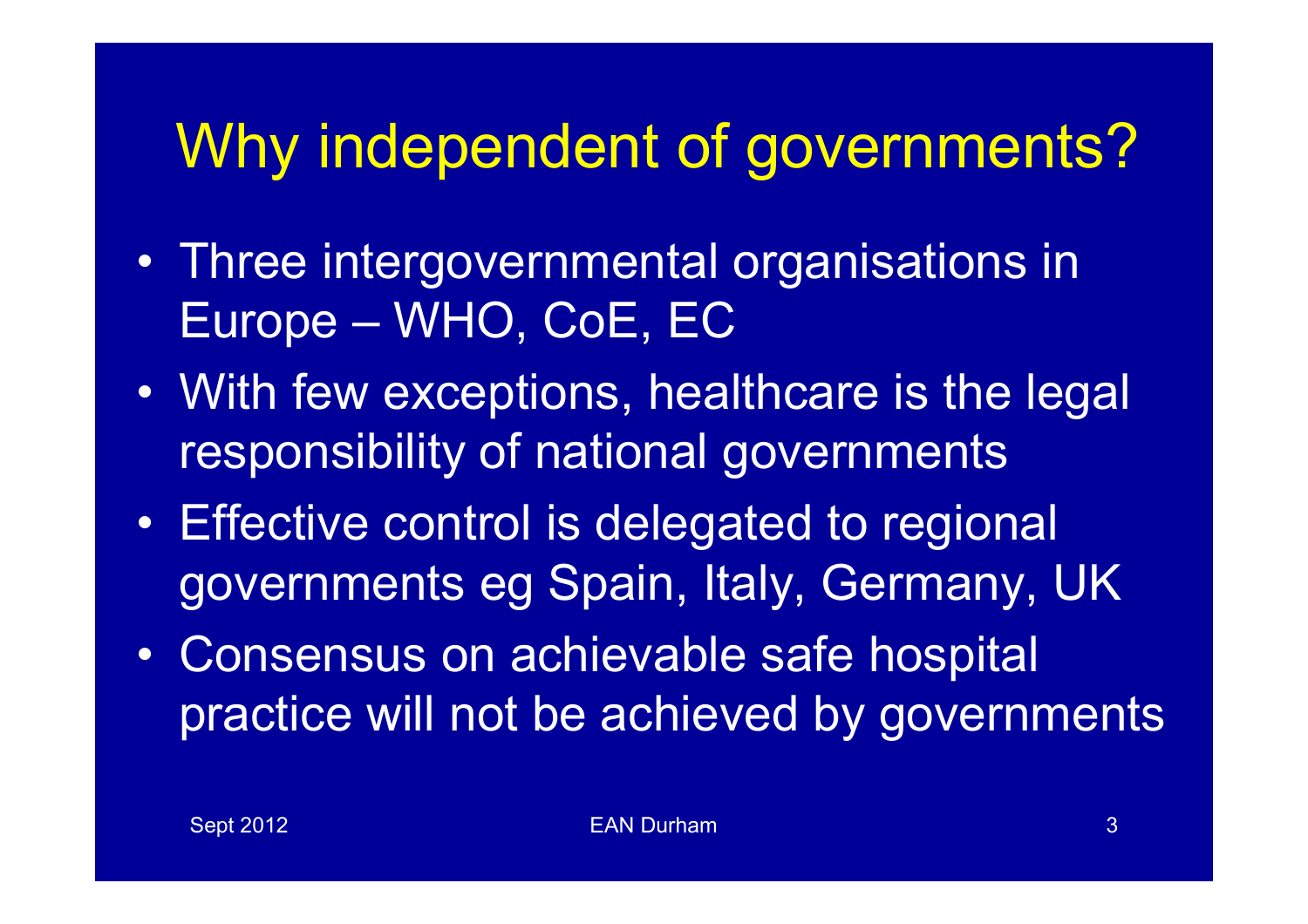#### Why independent of governments?

- Three intergovernmental organisations in Europe – WHO, CoE, EC
- With few exceptions, healthcare is the legal responsibility of national governments
- Effective control is delegated to regional governments eg Spain, Italy, Germany, UK
- Consensus on achievable safe hospital practice will not be achieved by governments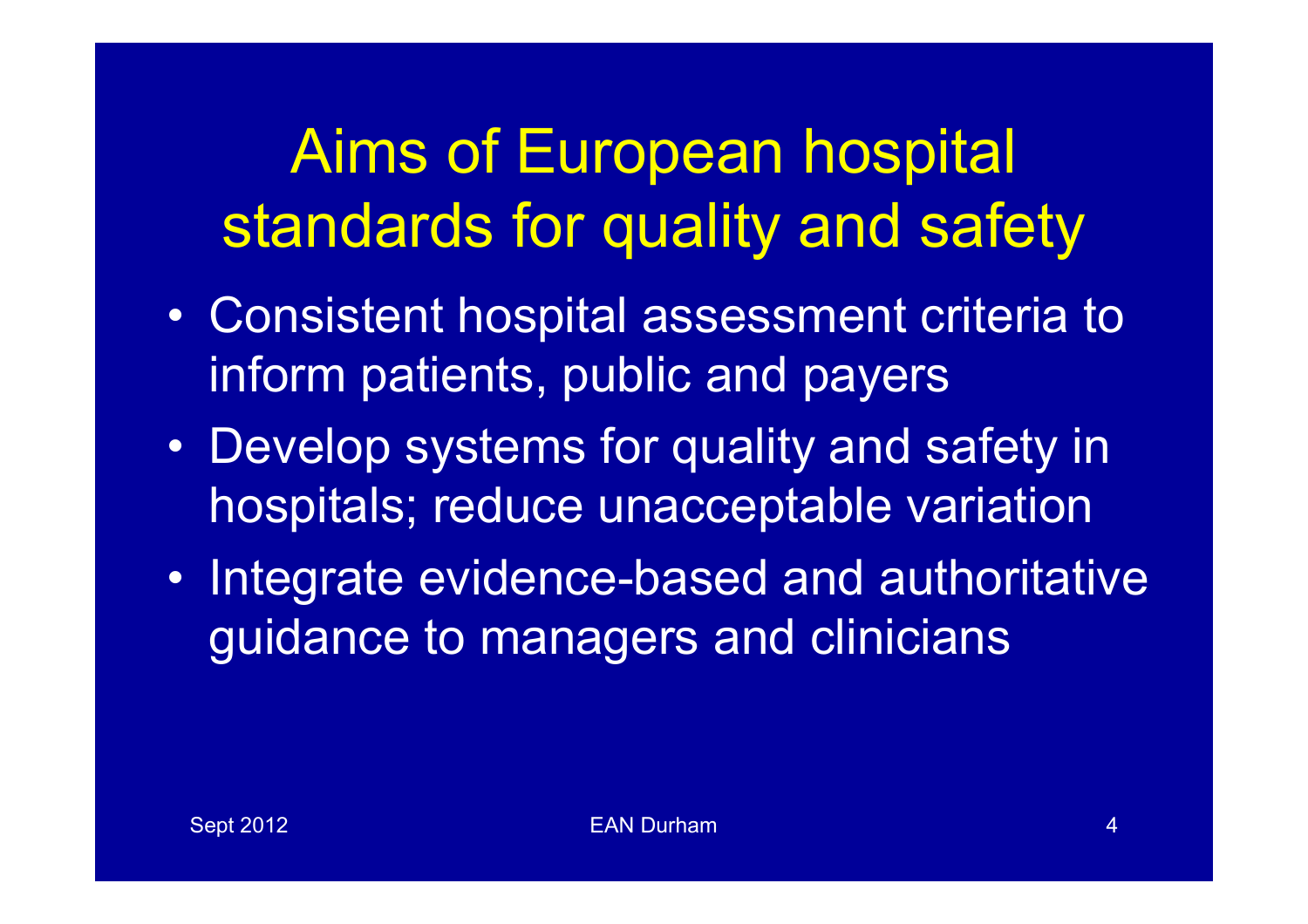#### Aims of European hospital standards for quality and safety

- Consistent hospital assessment criteria to inform patients, public and payers
- Develop systems for quality and safety in hospitals; reduce unacceptable variation
- Integrate evidence-based and authoritative guidance to managers and clinicians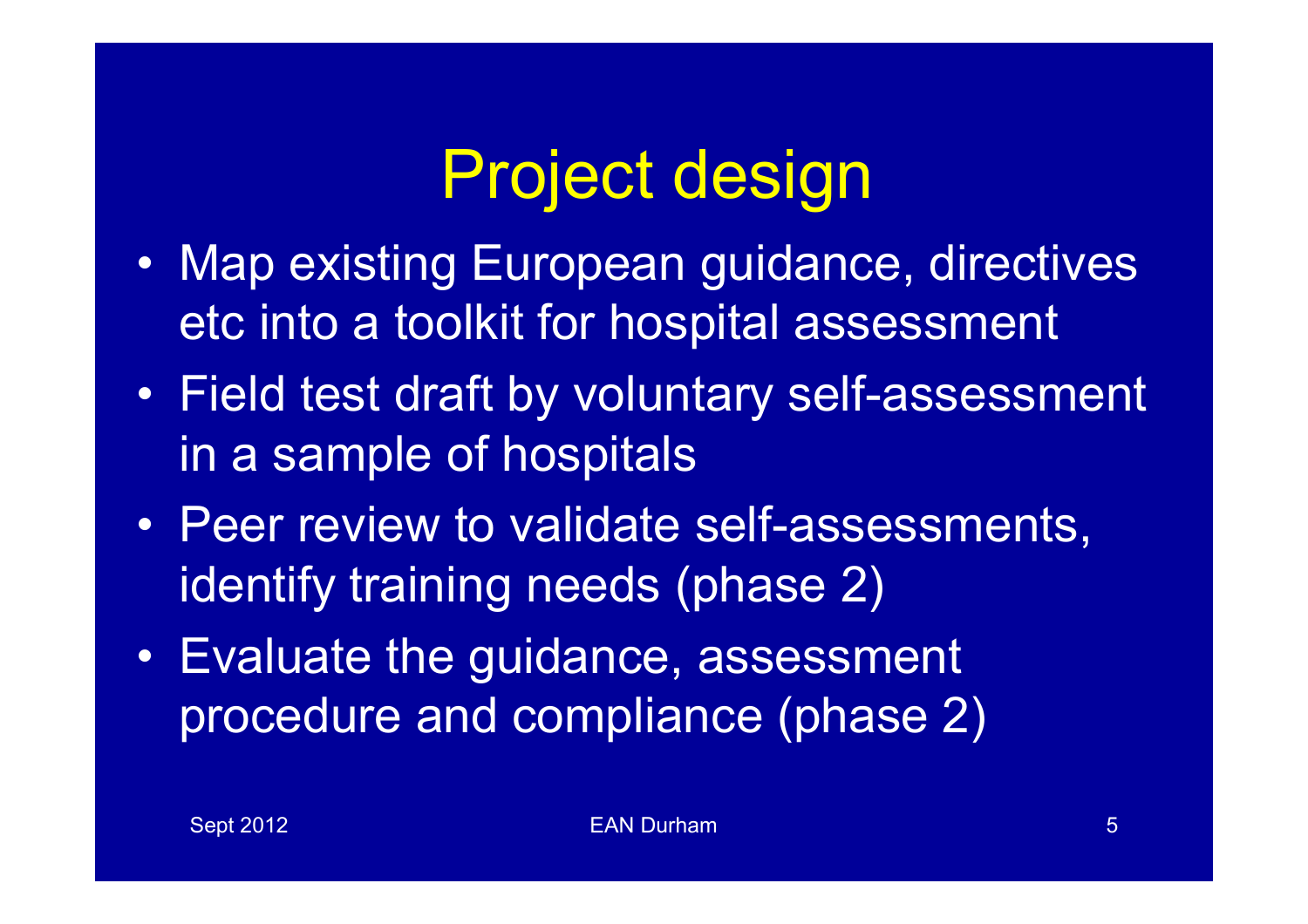### Project design

- Map existing European guidance, directives etc into a toolkit for hospital assessment
- Field test draft by voluntary self-assessment in a sample of hospitals
- Peer review to validate self-assessments, identify training needs (phase 2)
- Evaluate the guidance, assessment procedure and compliance (phase 2)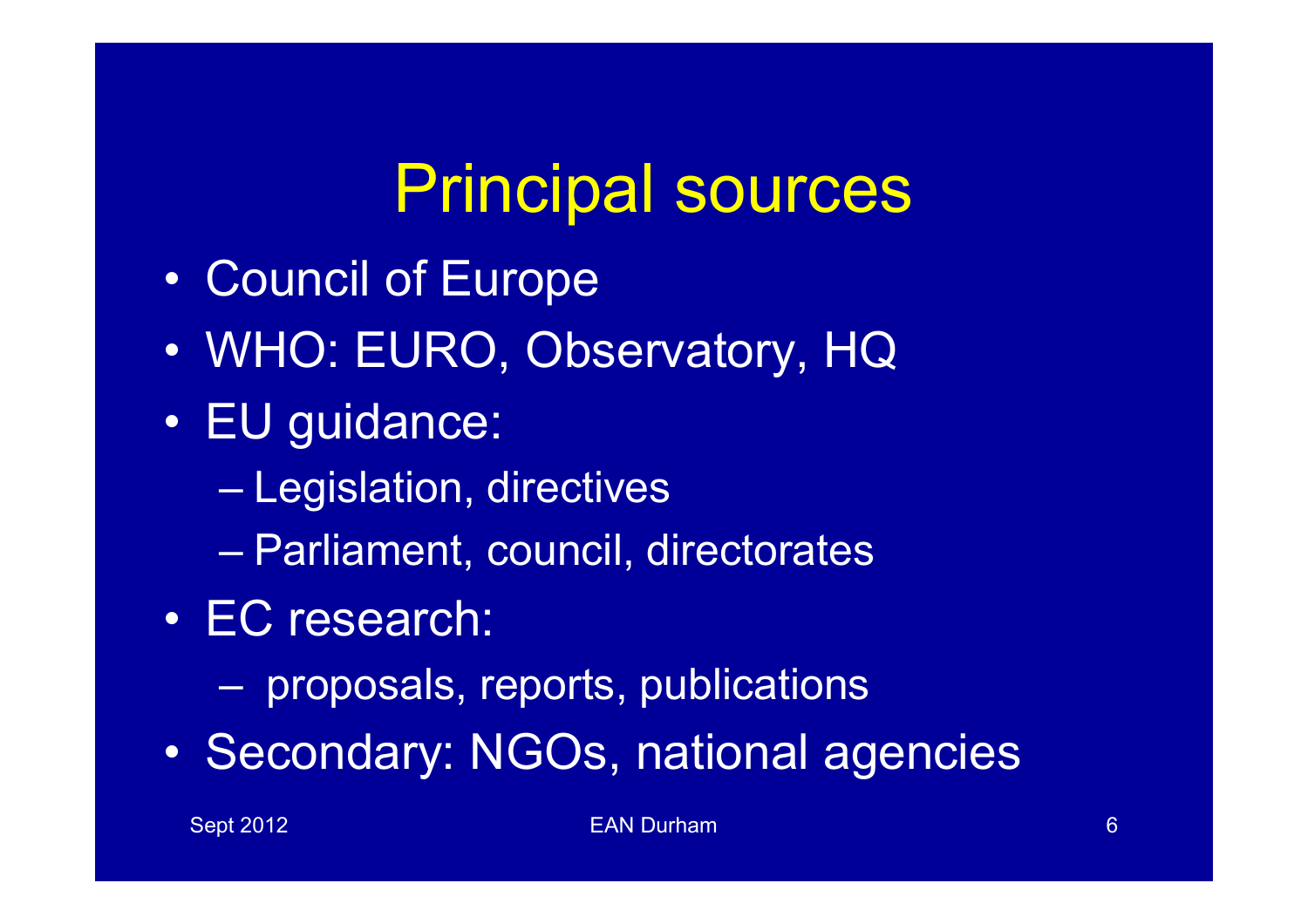# Principal sources

- Council of Europe
- WHO: EURO, Observatory, HQ
- EU guidance:
	- Legislation, directives
	- Parliament, council, directorates
- EC research:
	- proposals, reports, publications
- Secondary: NGOs, national agencies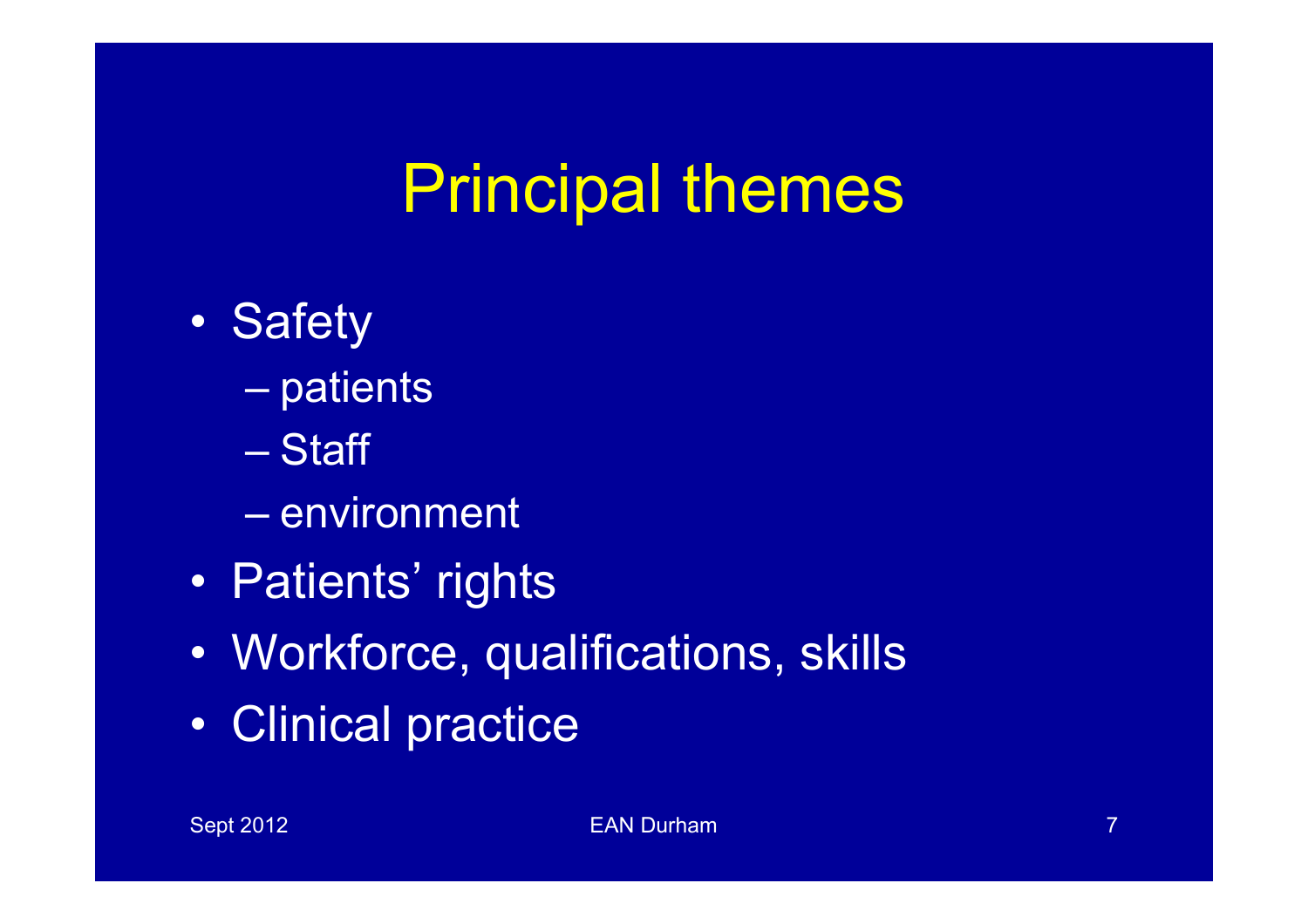# Principal themes

- Safety
	- patients
	- Staff
	- environment
- Patients' rights
- Workforce, qualifications, skills
- Clinical practice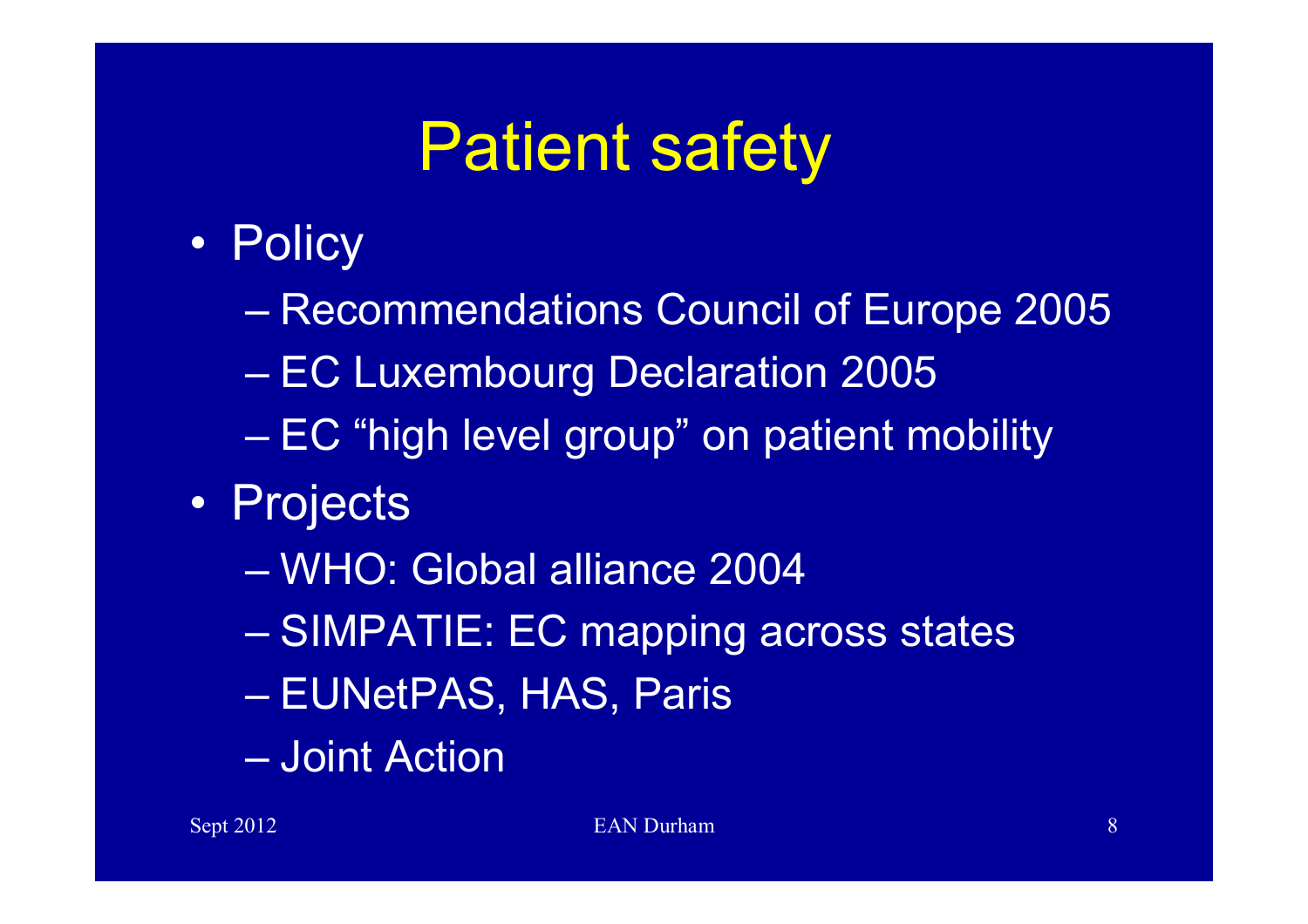# Patient safety

- Policy
	- Recommendations Council of Europe 2005
	- EC Luxembourg Declaration 2005
	- EC "high level group" on patient mobility
- Projects
	- WHO: Global alliance 2004
	- SIMPATIE: EC mapping across states
	- EUNetPAS, HAS, Paris
	- Joint Action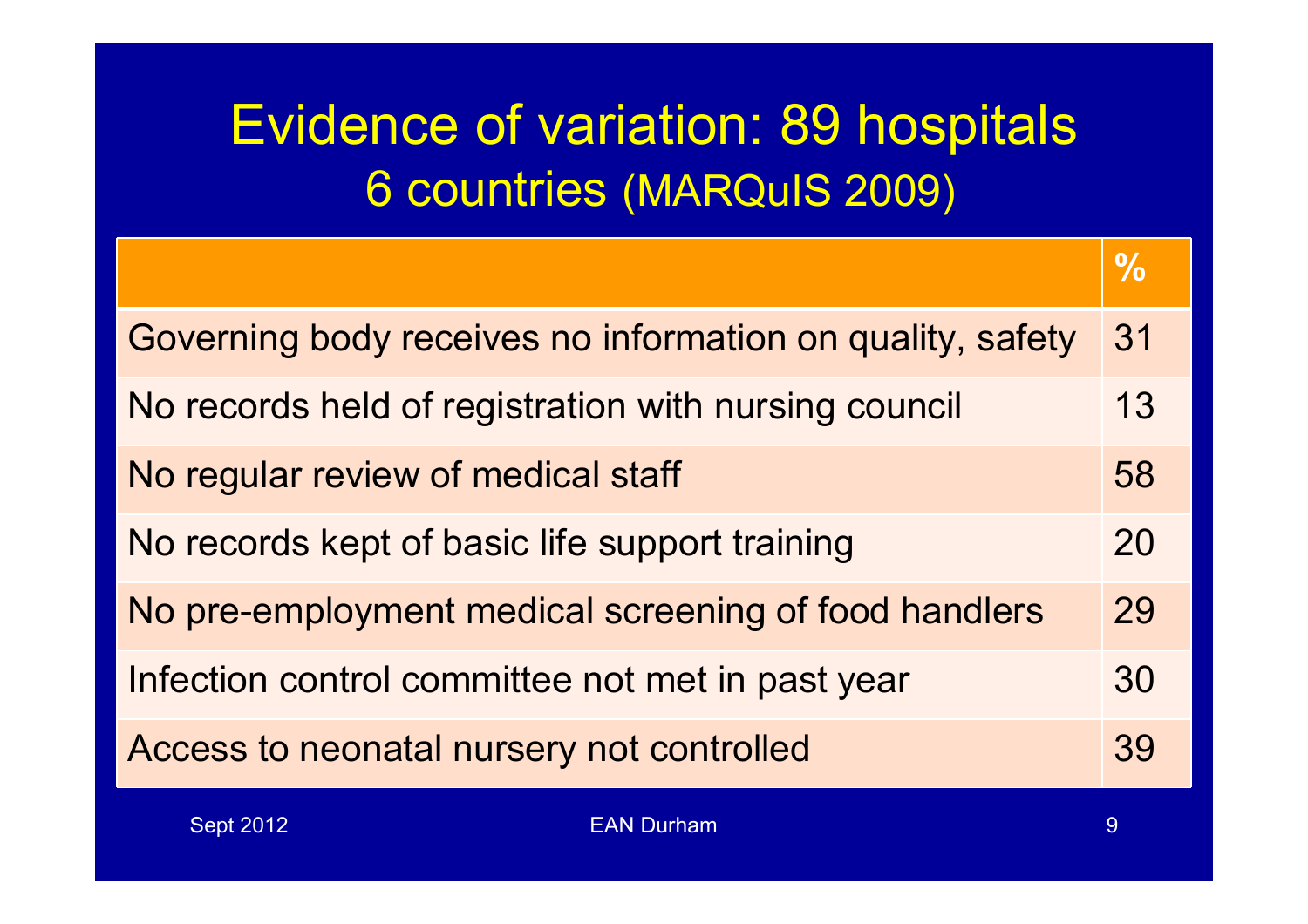#### Evidence of variation: 89 hospitals 6 countries (MARQuIS 2009)

|                                                           | $\frac{0}{0}$ |
|-----------------------------------------------------------|---------------|
| Governing body receives no information on quality, safety | 31            |
| No records held of registration with nursing council      | 13            |
| No regular review of medical staff                        | 58            |
| No records kept of basic life support training            | 20            |
| No pre-employment medical screening of food handlers      | 29            |
| Infection control committee not met in past year          | 30            |
| Access to neonatal nursery not controlled                 | 39            |
| <b>Sept 2012</b><br><b>EAN Durham</b>                     | 9             |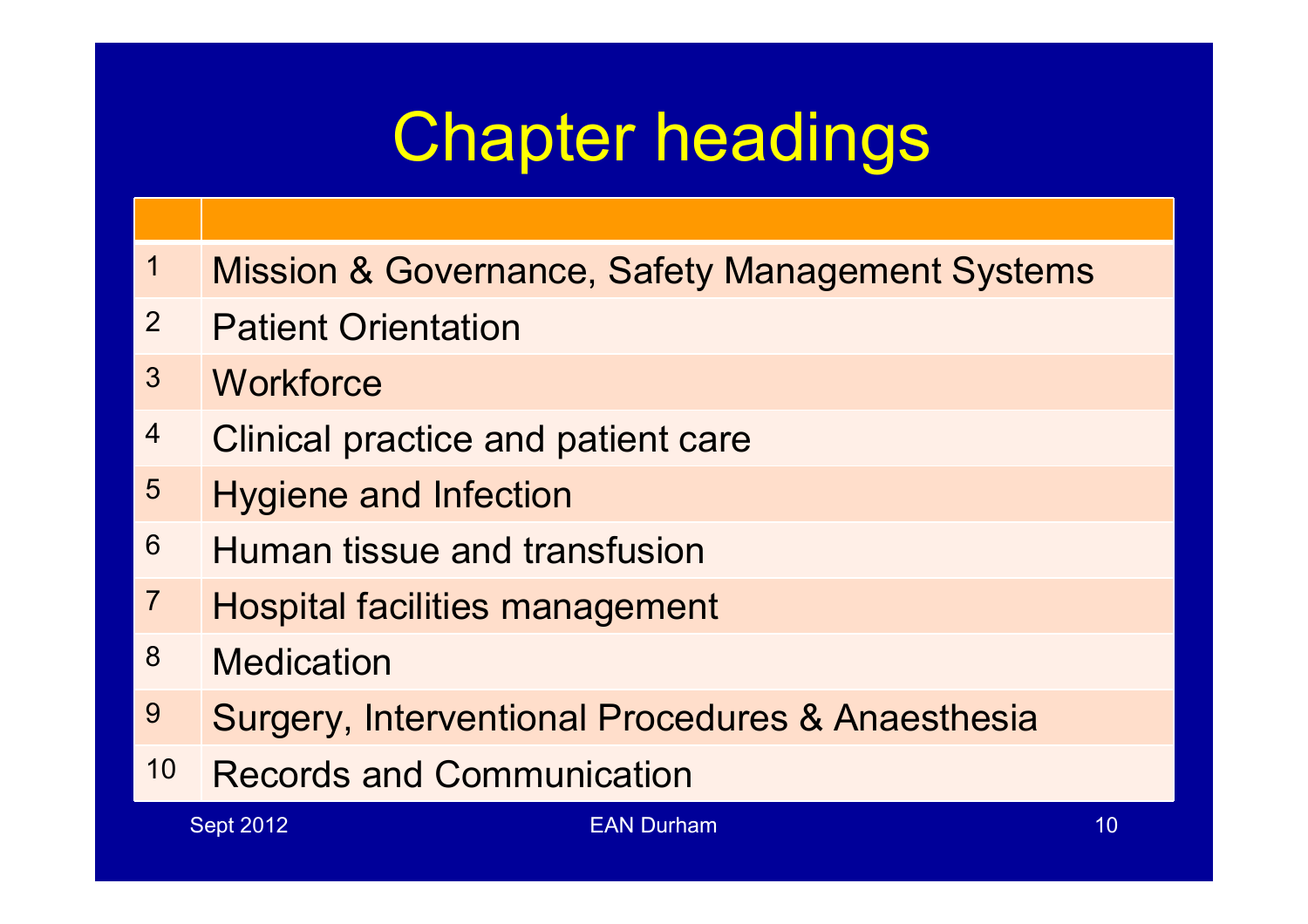# Chapter headings

- Mission & Governance, Safety Management Systems
- Patient Orientation
- Workforce
- 4 Clinical practice and patient care
- Hygiene and Infection
- Human tissue and transfusion
- Hospital facilities management
- Medication
- 9 Surgery, Interventional Procedures & Anaesthesia
- Records and Communication

Sept 2012 **EAN Durham 10** Sept 2012 **EAN Durham** 10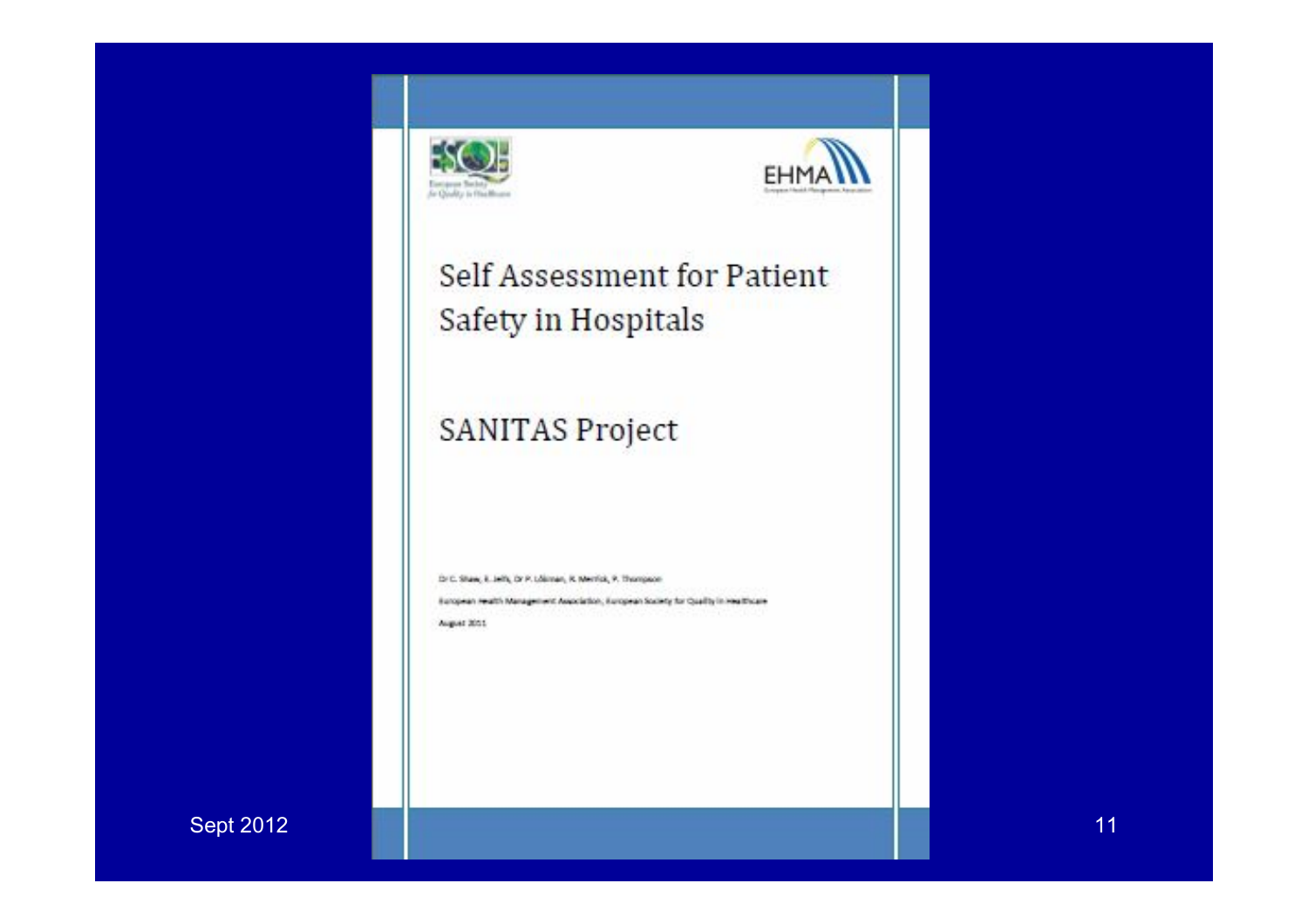



#### Self Assessment for Patient Safety in Hospitals

#### SANITAS Project

Dr.C. Shaw, K. Jeffs, Dr.P. Lokiman, R. Memba, P. Thumpson

Beropean Health Management Awardation, Buropean Society for Quality in Healthcare August 2001.

Sept 2012 EAN During the Case of the Case of the Case of the Case of the Case of the Case of the Case of the C